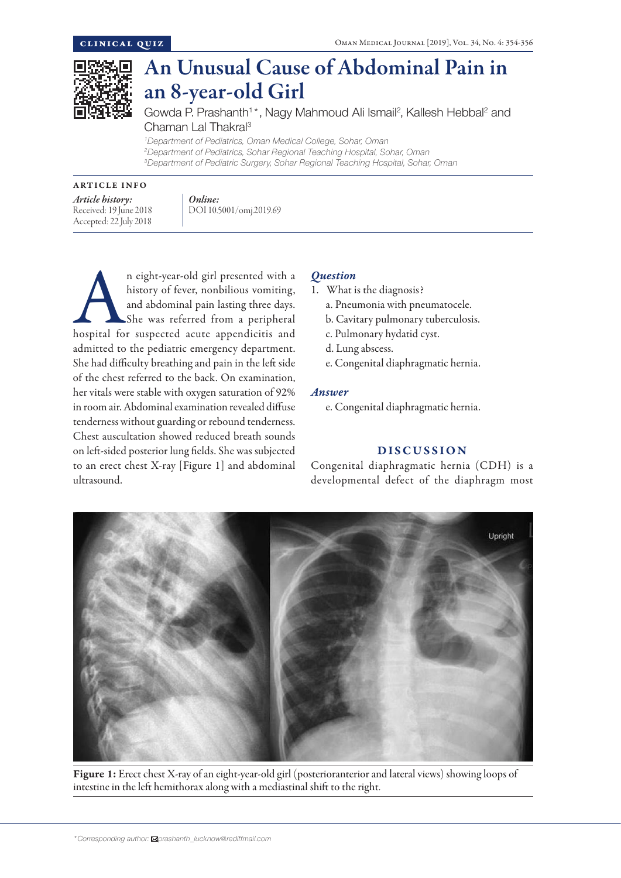

# An Unusual Cause of Abdominal Pain in an 8-year-old Girl

Gowda P. Prashanth<sup>1\*</sup>, Nagy Mahmoud Ali Ismail<sup>2</sup>, Kallesh Hebbal<sup>2</sup> and Chaman Lal Thakral3

*1 Department of Pediatrics, Oman Medical College, Sohar, Oman 2 Department of Pediatrics, Sohar Regional Teaching Hospital, Sohar, Oman 3 Department of Pediatric Surgery, Sohar Regional Teaching Hospital, Sohar, Oman*

#### ARTICLE INFO

*Article history:*  Received: 19 June 2018 Accepted: 22 July 2018

*Online:* DOI 10.5001/omj.2019.69

n eight-year-old girl presented with a history of fever, nonbilious vomiting, and abdominal pain lasting three days.<br>She was referred from a peripheral hospital for suspected acute appendicitis and history of fever, nonbilious vomiting, and abdominal pain lasting three days. She was referred from a peripheral admitted to the pediatric emergency department. She had difficulty breathing and pain in the left side of the chest referred to the back. On examination, her vitals were stable with oxygen saturation of 92% in room air. Abdominal examination revealed diffuse tenderness without guarding or rebound tenderness. Chest auscultation showed reduced breath sounds on left-sided posterior lung fields. She was subjected to an erect chest X-ray [Figure 1] and abdominal ultrasound.

# *Question*

- 1. What is the diagnosis?
	- a. Pneumonia with pneumatocele.
	- b. Cavitary pulmonary tuberculosis.
	- c. Pulmonary hydatid cyst.
	- d. Lung abscess.
	- e. Congenital diaphragmatic hernia.

### *Answer*

e. Congenital diaphragmatic hernia.

# DISCUSSION

Congenital diaphragmatic hernia (CDH) is a developmental defect of the diaphragm most



Figure 1: Erect chest X-ray of an eight-year-old girl (posterioranterior and lateral views) showing loops of intestine in the left hemithorax along with a mediastinal shift to the right.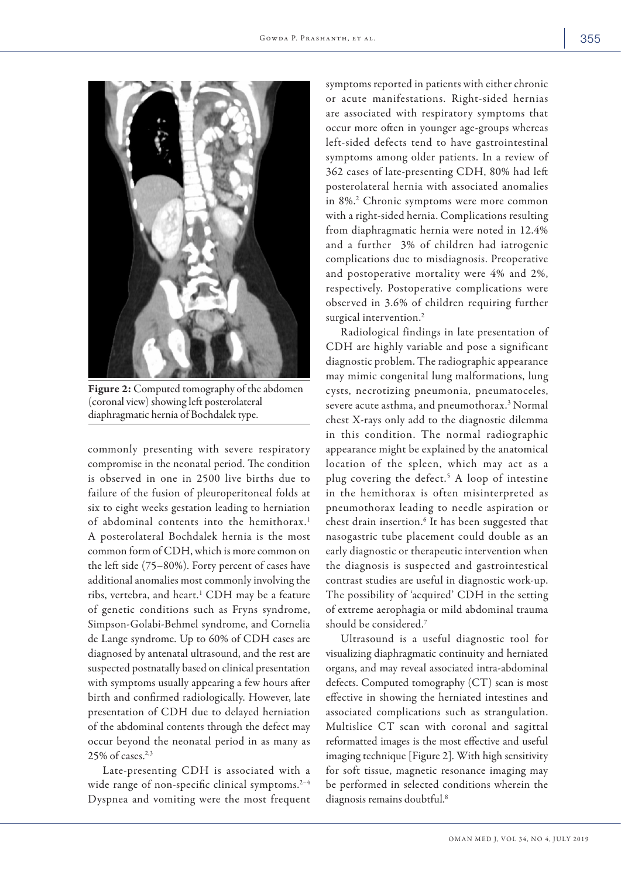

Figure 2: Computed tomography of the abdomen (coronal view) showing left posterolateral diaphragmatic hernia of Bochdalek type.

commonly presenting with severe respiratory compromise in the neonatal period. The condition is observed in one in 2500 live births due to failure of the fusion of pleuroperitoneal folds at six to eight weeks gestation leading to herniation of abdominal contents into the hemithorax.<sup>1</sup> A posterolateral Bochdalek hernia is the most common form of CDH, which is more common on the left side (75–80%). Forty percent of cases have additional anomalies most commonly involving the ribs, vertebra, and heart.1 CDH may be a feature of genetic conditions such as Fryns syndrome, Simpson-Golabi-Behmel syndrome, and Cornelia de Lange syndrome. Up to 60% of CDH cases are diagnosed by antenatal ultrasound, and the rest are suspected postnatally based on clinical presentation with symptoms usually appearing a few hours after birth and confirmed radiologically. However, late presentation of CDH due to delayed herniation of the abdominal contents through the defect may occur beyond the neonatal period in as many as  $25\%$  of cases.<sup>2,3</sup>

Late-presenting CDH is associated with a wide range of non-specific clinical symptoms.<sup>2-4</sup> Dyspnea and vomiting were the most frequent

symptoms reported in patients with either chronic or acute manifestations. Right-sided hernias are associated with respiratory symptoms that occur more often in younger age-groups whereas left-sided defects tend to have gastrointestinal symptoms among older patients. In a review of 362 cases of late-presenting CDH, 80% had left posterolateral hernia with associated anomalies in 8%.2 Chronic symptoms were more common with a right-sided hernia. Complications resulting from diaphragmatic hernia were noted in 12.4% and a further 3% of children had iatrogenic complications due to misdiagnosis. Preoperative and postoperative mortality were 4% and 2%, respectively. Postoperative complications were observed in 3.6% of children requiring further surgical intervention.<sup>2</sup>

Radiological findings in late presentation of CDH are highly variable and pose a significant diagnostic problem. The radiographic appearance may mimic congenital lung malformations, lung cysts, necrotizing pneumonia, pneumatoceles, severe acute asthma, and pneumothorax.<sup>3</sup> Normal chest X-rays only add to the diagnostic dilemma in this condition. The normal radiographic appearance might be explained by the anatomical location of the spleen, which may act as a plug covering the defect.5 A loop of intestine in the hemithorax is often misinterpreted as pneumothorax leading to needle aspiration or chest drain insertion.<sup>6</sup> It has been suggested that nasogastric tube placement could double as an early diagnostic or therapeutic intervention when the diagnosis is suspected and gastrointestical contrast studies are useful in diagnostic work-up. The possibility of 'acquired' CDH in the setting of extreme aerophagia or mild abdominal trauma should be considered.7

Ultrasound is a useful diagnostic tool for visualizing diaphragmatic continuity and herniated organs, and may reveal associated intra-abdominal defects. Computed tomography (CT) scan is most effective in showing the herniated intestines and associated complications such as strangulation. Multislice CT scan with coronal and sagittal reformatted images is the most effective and useful imaging technique [Figure 2]. With high sensitivity for soft tissue, magnetic resonance imaging may be performed in selected conditions wherein the diagnosis remains doubtful.<sup>8</sup>